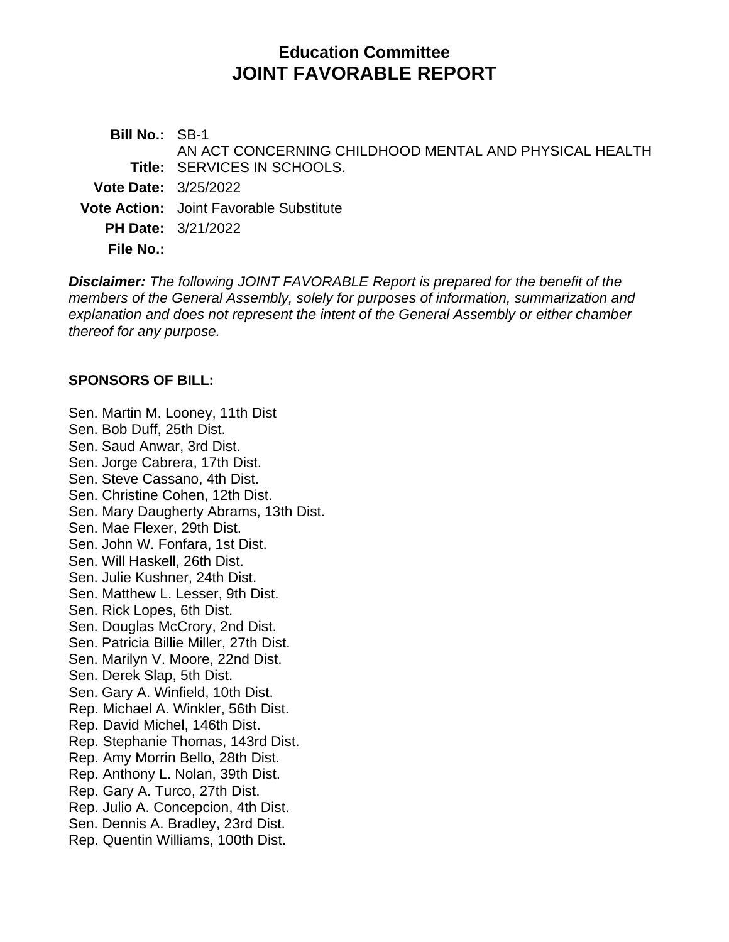# **Education Committee JOINT FAVORABLE REPORT**

**Bill No.:** SB-1 **Title:** SERVICES IN SCHOOLS. AN ACT CONCERNING CHILDHOOD MENTAL AND PHYSICAL HEALTH **Vote Date:** 3/25/2022 **Vote Action:** Joint Favorable Substitute **PH Date:** 3/21/2022 **File No.:**

*Disclaimer: The following JOINT FAVORABLE Report is prepared for the benefit of the members of the General Assembly, solely for purposes of information, summarization and explanation and does not represent the intent of the General Assembly or either chamber thereof for any purpose.*

#### **SPONSORS OF BILL:**

Sen. Martin M. Looney, 11th Dist Sen. Bob Duff, 25th Dist. Sen. Saud Anwar, 3rd Dist. Sen. Jorge Cabrera, 17th Dist. Sen. Steve Cassano, 4th Dist. Sen. Christine Cohen, 12th Dist. Sen. Mary Daugherty Abrams, 13th Dist. Sen. Mae Flexer, 29th Dist. Sen. John W. Fonfara, 1st Dist. Sen. Will Haskell, 26th Dist. Sen. Julie Kushner, 24th Dist. Sen. Matthew L. Lesser, 9th Dist. Sen. Rick Lopes, 6th Dist. Sen. Douglas McCrory, 2nd Dist. Sen. Patricia Billie Miller, 27th Dist. Sen. Marilyn V. Moore, 22nd Dist. Sen. Derek Slap, 5th Dist. Sen. Gary A. Winfield, 10th Dist. Rep. Michael A. Winkler, 56th Dist. Rep. David Michel, 146th Dist. Rep. Stephanie Thomas, 143rd Dist. Rep. Amy Morrin Bello, 28th Dist. Rep. Anthony L. Nolan, 39th Dist. Rep. Gary A. Turco, 27th Dist. Rep. Julio A. Concepcion, 4th Dist. Sen. Dennis A. Bradley, 23rd Dist. Rep. Quentin Williams, 100th Dist.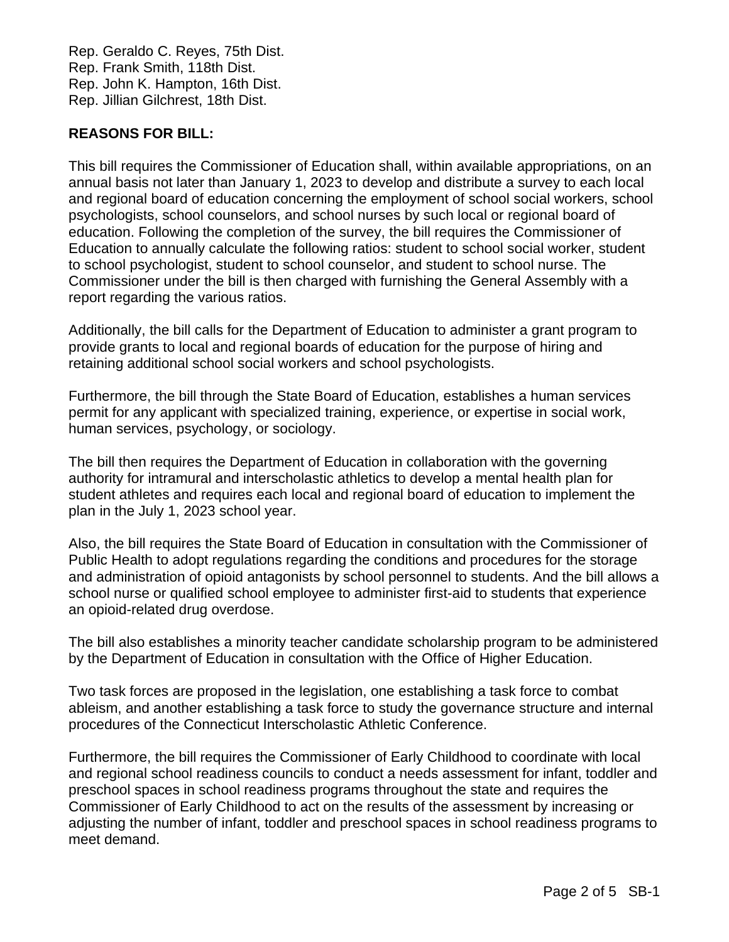Rep. Geraldo C. Reyes, 75th Dist. Rep. Frank Smith, 118th Dist. Rep. John K. Hampton, 16th Dist. Rep. Jillian Gilchrest, 18th Dist.

# **REASONS FOR BILL:**

This bill requires the Commissioner of Education shall, within available appropriations, on an annual basis not later than January 1, 2023 to develop and distribute a survey to each local and regional board of education concerning the employment of school social workers, school psychologists, school counselors, and school nurses by such local or regional board of education. Following the completion of the survey, the bill requires the Commissioner of Education to annually calculate the following ratios: student to school social worker, student to school psychologist, student to school counselor, and student to school nurse. The Commissioner under the bill is then charged with furnishing the General Assembly with a report regarding the various ratios.

Additionally, the bill calls for the Department of Education to administer a grant program to provide grants to local and regional boards of education for the purpose of hiring and retaining additional school social workers and school psychologists.

Furthermore, the bill through the State Board of Education, establishes a human services permit for any applicant with specialized training, experience, or expertise in social work, human services, psychology, or sociology.

The bill then requires the Department of Education in collaboration with the governing authority for intramural and interscholastic athletics to develop a mental health plan for student athletes and requires each local and regional board of education to implement the plan in the July 1, 2023 school year.

Also, the bill requires the State Board of Education in consultation with the Commissioner of Public Health to adopt regulations regarding the conditions and procedures for the storage and administration of opioid antagonists by school personnel to students. And the bill allows a school nurse or qualified school employee to administer first-aid to students that experience an opioid-related drug overdose.

The bill also establishes a minority teacher candidate scholarship program to be administered by the Department of Education in consultation with the Office of Higher Education.

Two task forces are proposed in the legislation, one establishing a task force to combat ableism, and another establishing a task force to study the governance structure and internal procedures of the Connecticut Interscholastic Athletic Conference.

Furthermore, the bill requires the Commissioner of Early Childhood to coordinate with local and regional school readiness councils to conduct a needs assessment for infant, toddler and preschool spaces in school readiness programs throughout the state and requires the Commissioner of Early Childhood to act on the results of the assessment by increasing or adjusting the number of infant, toddler and preschool spaces in school readiness programs to meet demand.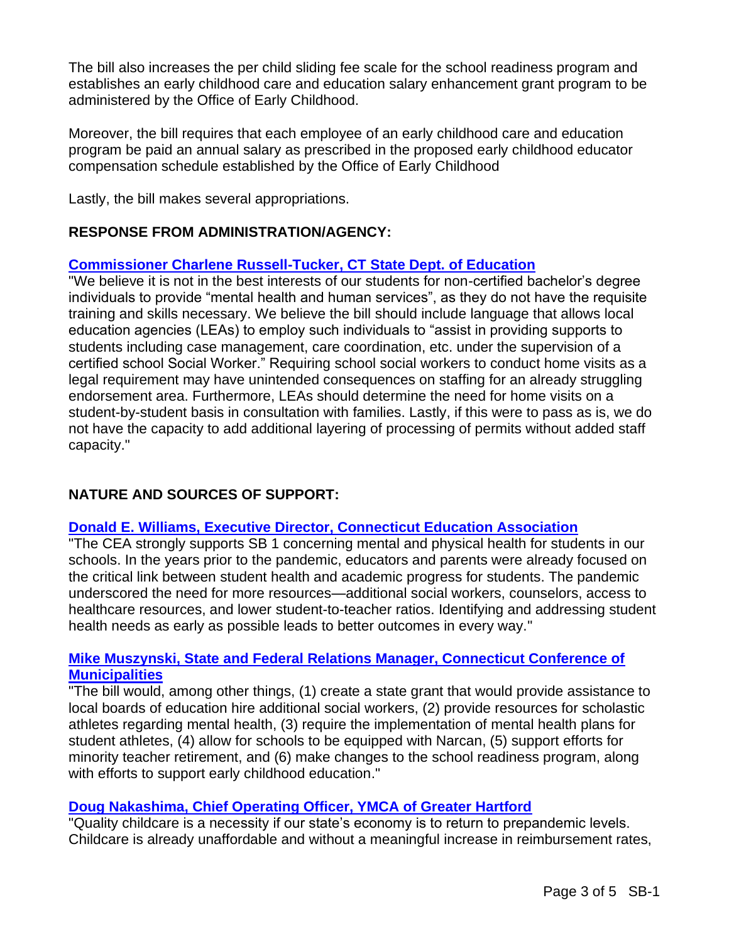The bill also increases the per child sliding fee scale for the school readiness program and establishes an early childhood care and education salary enhancement grant program to be administered by the Office of Early Childhood.

Moreover, the bill requires that each employee of an early childhood care and education program be paid an annual salary as prescribed in the proposed early childhood educator compensation schedule established by the Office of Early Childhood

Lastly, the bill makes several appropriations.

# **RESPONSE FROM ADMINISTRATION/AGENCY:**

# **[Commissioner Charlene Russell-Tucker, CT State Dept. of Education](https://www.cga.ct.gov/2022/eddata/tmy/2022SB-00001-R000321-Russell-Tucker,%20Charlene,%20Commissioner-Connecticut%20Department%20of%20Education-TMY.PDF)**

"We believe it is not in the best interests of our students for non-certified bachelor's degree individuals to provide "mental health and human services", as they do not have the requisite training and skills necessary. We believe the bill should include language that allows local education agencies (LEAs) to employ such individuals to "assist in providing supports to students including case management, care coordination, etc. under the supervision of a certified school Social Worker." Requiring school social workers to conduct home visits as a legal requirement may have unintended consequences on staffing for an already struggling endorsement area. Furthermore, LEAs should determine the need for home visits on a student-by-student basis in consultation with families. Lastly, if this were to pass as is, we do not have the capacity to add additional layering of processing of permits without added staff capacity."

# **NATURE AND SOURCES OF SUPPORT:**

# **[Donald E. Williams, Executive Director, Connecticut Education Association](https://www.cga.ct.gov/2022/eddata/tmy/2022SB-00001-R000321-Williams,%20Jr.,%20Donald,%20Executive%20Director-Connecticut%20Education%20Association-TMY.PDF)**

"The CEA strongly supports SB 1 concerning mental and physical health for students in our schools. In the years prior to the pandemic, educators and parents were already focused on the critical link between student health and academic progress for students. The pandemic underscored the need for more resources—additional social workers, counselors, access to healthcare resources, and lower student-to-teacher ratios. Identifying and addressing student health needs as early as possible leads to better outcomes in every way."

#### **[Mike Muszynski, State and Federal Relations Manager, Connecticut Conference of](https://www.cga.ct.gov/2022/eddata/tmy/2022SB-00001-R000321-Muszynski,%20Mike,%20State%20and%20Federal%20Relations-CT%20Conference%20of%20Municipalities-TMY.PDF)  [Municipalities](https://www.cga.ct.gov/2022/eddata/tmy/2022SB-00001-R000321-Muszynski,%20Mike,%20State%20and%20Federal%20Relations-CT%20Conference%20of%20Municipalities-TMY.PDF)**

"The bill would, among other things, (1) create a state grant that would provide assistance to local boards of education hire additional social workers, (2) provide resources for scholastic athletes regarding mental health, (3) require the implementation of mental health plans for student athletes, (4) allow for schools to be equipped with Narcan, (5) support efforts for minority teacher retirement, and (6) make changes to the school readiness program, along with efforts to support early childhood education."

# **[Doug Nakashima, Chief Operating Officer, YMCA of Greater Hartford](https://www.cga.ct.gov/2022/eddata/tmy/2022SB-00001-R000321-Nakashima,%20Doug,%20Chief%20Operating%20Officer-Greater%20Hartford%20YMCA-TMY.PDF)**

"Quality childcare is a necessity if our state's economy is to return to prepandemic levels. Childcare is already unaffordable and without a meaningful increase in reimbursement rates,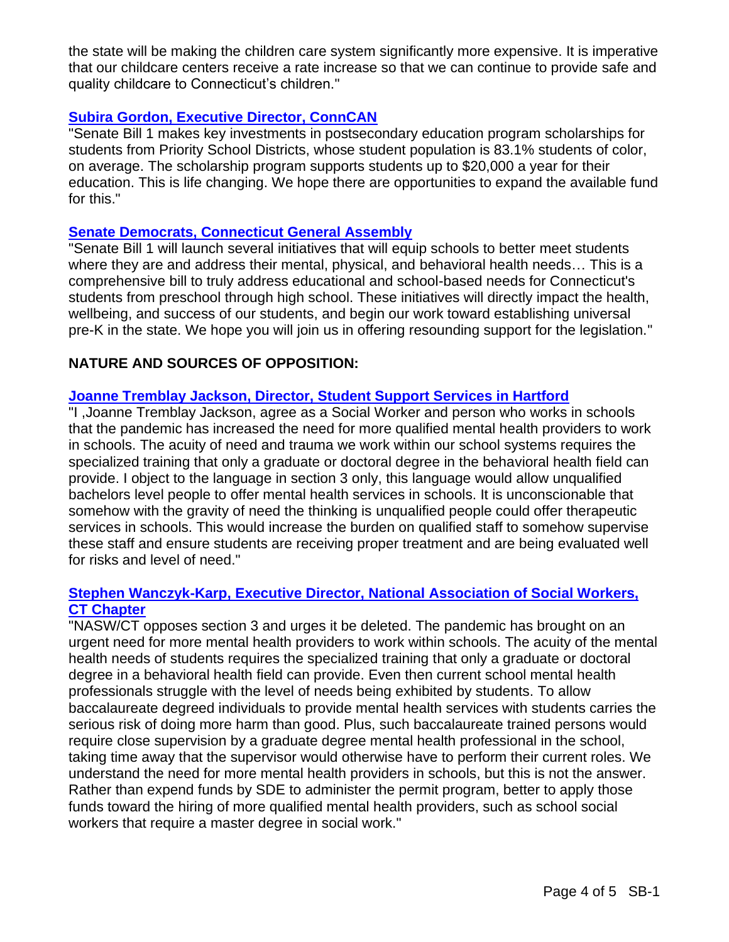the state will be making the children care system significantly more expensive. It is imperative that our childcare centers receive a rate increase so that we can continue to provide safe and quality childcare to Connecticut's children."

# **[Subira Gordon, Executive Director, ConnCAN](https://www.cga.ct.gov/2022/eddata/tmy/2022SB-00001-R000321-Gordon,%20Subira,%20Executive%20Director-ConnCAN-TMY.PDF)**

"Senate Bill 1 makes key investments in postsecondary education program scholarships for students from Priority School Districts, whose student population is 83.1% students of color, on average. The scholarship program supports students up to \$20,000 a year for their education. This is life changing. We hope there are opportunities to expand the available fund for this."

# **[Senate Democrats, Connecticut General Assembly](https://www.cga.ct.gov/2022/eddata/tmy/2022SB-00001-R000321-Senate%20Democrats%20Office-GT%20General%20Assembly-TMY.PDF)**

"Senate Bill 1 will launch several initiatives that will equip schools to better meet students where they are and address their mental, physical, and behavioral health needs… This is a comprehensive bill to truly address educational and school-based needs for Connecticut's students from preschool through high school. These initiatives will directly impact the health, wellbeing, and success of our students, and begin our work toward establishing universal pre-K in the state. We hope you will join us in offering resounding support for the legislation."

# **NATURE AND SOURCES OF OPPOSITION:**

# **[Joanne Tremblay Jackson, Director, Student Support Services in Hartford](https://www.cga.ct.gov/2022/eddata/tmy/2022SB-00001-R000321-Jackson,%20Joanne%20Tremblay,%20Director-Student%20Support%20Services%20in%20Hartford-TMY.PDF)**

"I ,Joanne Tremblay Jackson, agree as a Social Worker and person who works in schools that the pandemic has increased the need for more qualified mental health providers to work in schools. The acuity of need and trauma we work within our school systems requires the specialized training that only a graduate or doctoral degree in the behavioral health field can provide. I object to the language in section 3 only, this language would allow unqualified bachelors level people to offer mental health services in schools. It is unconscionable that somehow with the gravity of need the thinking is unqualified people could offer therapeutic services in schools. This would increase the burden on qualified staff to somehow supervise these staff and ensure students are receiving proper treatment and are being evaluated well for risks and level of need."

# **[Stephen Wanczyk-Karp, Executive Director, National Association of Social Workers,](https://www.cga.ct.gov/2022/eddata/tmy/2022SB-00001-R000321-Wanczyk-Karp,%20Stephen,%20Executive%20Director-National%20Association%20of%20Social%20Workers%20CT-TMY.PDF)  [CT Chapter](https://www.cga.ct.gov/2022/eddata/tmy/2022SB-00001-R000321-Wanczyk-Karp,%20Stephen,%20Executive%20Director-National%20Association%20of%20Social%20Workers%20CT-TMY.PDF)**

"NASW/CT opposes section 3 and urges it be deleted. The pandemic has brought on an urgent need for more mental health providers to work within schools. The acuity of the mental health needs of students requires the specialized training that only a graduate or doctoral degree in a behavioral health field can provide. Even then current school mental health professionals struggle with the level of needs being exhibited by students. To allow baccalaureate degreed individuals to provide mental health services with students carries the serious risk of doing more harm than good. Plus, such baccalaureate trained persons would require close supervision by a graduate degree mental health professional in the school, taking time away that the supervisor would otherwise have to perform their current roles. We understand the need for more mental health providers in schools, but this is not the answer. Rather than expend funds by SDE to administer the permit program, better to apply those funds toward the hiring of more qualified mental health providers, such as school social workers that require a master degree in social work."